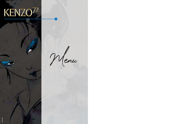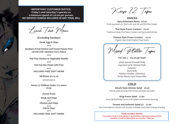Kenzo 72 Tapas

**snaCks spicy edamame Beans £6.20** *Fresh soya bean stir fried with rock Salt and Shichimi Pepper*

**Thai Style Prawn Crackers £5.20** *Traditional Deep Fried Spicy Crackers with grounded Shrimp*

> **Chinese style prawn Crackers £5.20** *Popular deep fried Original Crispy Snack*

Mixed Platter Tapas

**For min 2 £15.00 per head**

*Chefs Special Uramaki Rolls Supreme Garlic Chicken Rolls Calamari Duck Rolls Yakitori Chicken (Skewers) Sticky Meaty Farm House Ribs*

**CoLD kimchi style Chicken salad £6.50** K*imchi salad dressing with kimchi and baby leaf salad*

**king prawn salad £7.60**

*Fresh Off Shell King Prawns with Salad in Vietnamese Dressing.*

**tomato and Halloumi salad (v) £7.60** *Pan Fried Halloumi Cheese with Tomato and Baby Leaf Salad in House Dressing*

Lunch Time Menu

**(excluding sundays) steak, egg & Chips** \*\*\* **southern Fried Chicken and sweet potato Fries served with Japanese Curry sauce** \*\*\* **pad thai Chicken or Vegetable noodle** \*\*\* **Flat Iron 8oz steak with Fries** \*\*\* **InCLuDes Free soFt DrInk all Dishes at £12.70** \*\*\*\*\*\*\*\*\*

> **kenzo 72 Children under 10`s menu £8.50**

> > **choose from:**

**steak and Chips** \*\*\* **Chicken and Chips** \*\*\* **Fish & Chips** \*\*\*

**InCLuDes Free soFt DrInk**

**Important Customer notICe. Friday's and saturday's operate on a minimum spend of £20.00 per person. no serVICe CHarGe InCLuDeD In anY FInaL BILL**

> **FooD aLLerGY notICe If you have a food or drink allergy or special dietry requirement please inform a member of staff for information on our menu. thank you**

- 
-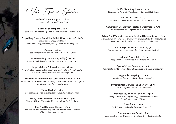Tapas or Starters

**Crab and prawns popcorn £8.70** *Japanese Style Crab and Prawn Balls*

**salmon Fish tempura £8.70** *Succulent Fish Pieces Deep Fried in Light Japanese Tempura Flour*

**Crispy king prawns Deep Fried in katifi pastry (5 pcs) £9.80** *The Ultimate in Crispy Fried Prawns Giant Prawns wrapped in KatIfi Pastry served with creamy sauce*

> **Calamari £8.70** *Deep Fried Squid served with Lightly Spiced Salad Cream*

**supreme Crispy Duck spring roll (4) £8.00** *Aromatic Duck dipped in Hoi Sin Sauce wrapped in Filo pastry*

**Imperial Garlic Chicken rolls (4) £8.00** *A firm Dim Sum favourite. Individual Hand Made Rolls with Fresh Chicken and White Cabbage seasoned with a hint of Garlic.*

**madam Lau`s famous Coca Cola Chicken Wings £8.00** *Her Famous recipe recreated for your enjoyment. Braised Chicken wings in a secret cola sauce. Sweet and Savoury*

**tokyo Chicken £8.10** *Succulent Deep Fried chicken pieces with sticky sweet chili sauce*

**sticky twice Cooked Farm House ribs £9.90** *Marinated Meaty Ribs, Braised then Deep Fried for fuller flavor.*

**pan Fried Halloumi Cheese £7.60** *Served with basil pesto sauce garnished with sun dried tomatoes (May contain traces of nuts)*

**pacific Giant king prawns £20.50** *Gigantic King Prawns (x3) coated in Garlic Sweet Chilli Sauce*

**kenzo Crab Cakes £11.50** *Coated in Japanese Breadcrumbs served with Tartar Sauce*

**Camembert Cheese with toasted Garlic Bread £13.90** *Dip your bread with this fantastic Gooey Warm Cheese*

**Crispy Fried tofu with Japanese seafood Hickory sauce £7.90** *This vegetarian protein packed oriental favourite drizzled with a special sauce. \* sauce contains fish can be swapped to Sweet Chilli Sauce*

> **kenzo style Bravos Fat Chips £7.70** *Our twist on this Spanish tapas dish. Get messy, get Stuck in!*

**Halloumi Cheese Fries £7.70** *Crispy Fried Halloumi Cheese sticks dripped with Honey.*

**Gyoza Chicken Dumplings £7.60** *Japanese favourite, Pan Fried Dumplings served with a garlic vinegar dip*

> **Vegetable Dumplings £7.60** *Vegetarian Gyoza served with Garlic vinegar dip.*

**Dynamic Beef skewers (3 x skewers) £11.50** *Cuts of fine prime beef served x 3 skewers*

**Japanese style Grilled scallops £13.50** *Scallops cooked in Masago Fish Egg and Enokik Mushrooms Flambéed in Japanese Whisky.*

**nasu Goma £9.50** *Fresh Japanese Aubergine in peanut, Sesame Sauce*

**ponzu mushroom salad £8.00** *Japanese style salad. Citrus flavor dressing with hints of Chili Garlic.*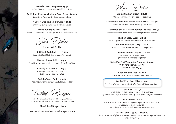Main Dishes

**Grilled Chicken Breast £17.50** *With a Teriyaki Sauce on a bed of Vegetables*

**kenzo style southern Fried Chicken Breast £18.50** *Served with Buffalo Sauce and Baby Leaf Salad*

**pan Fried sea Bass with Chef House sauce £18.50** *Seabass served on a bed of Salad with Light Thin soya sauce*

**Chicken katsu Curry £14.90** *Kenzo Style Fried Chicken with Japanese Curry and Rice*

**sirloin katsu Beef Curry £18.50** *Grilled and Sliced Sirloin with Rice and Vegetables*

> **Grilled salmon teriyaki £21.00** *Served on Bed of Vegetables (Minimum 15 mins cooking time)*

**spicy pad thai Vegetarian noodles £14.40 With king prawns £18.50 With Chicken £17.50**

**rack of kenzo ribs £20.90** *Farm House Ribs served with Chips and coleslaw.*

**truffle sliced Beef Fillet £39.00** *On a Bed of Warm Potato with Truffle Oriental Mushroom Sauce.*

**toban (V) £13.50** *Traditional Japanese terra cotta cooking method. Vegetables with Tofu in a sweet savoury sauce. (VEGAN option available)*

**unagi salmon £21.20** *Fresh Grilled Salmon coated in a special Japanese Eel Sauce. Thick , Sweet and Hickory Flavoured. Served with a Lychee Salad. A famous Japanese dish.*

**rack of Lamb £44.60 (seasonal)** *Herb crusted with light dijon mustard pan seared, served with grilled asparagus and baby carrots*

**Brooklyn Beef Croquettes £9.30** *Mince Fillet Beef, Crispy Deep Fried Street Style*

**Garlic king prawns with Light soya ( 5 pcs ) £10.00** *Fresh King Prawns with Garlic butter and soy*

> **Yakitori Chicken ( 3 x skewers ) £8.10** *Chicken Skewers marinated in Teriyaki Sauce.*

**kenzo aubergine Fries £7.50** *Fresh Japanese Abergine Fries glazed in honey butter sauce.*

Sushi Dishes

**uramaki rolls**

**soft shell Crab roll £16.20** *Deep fried Soft Shell Crab wrapped in rice roll*

**Volcano tower roll £13.50** *Crab Meat Uramaki stacked in impressive Volcano Style*

> **Crunchy salmon roll £15.50** *Asparagus, Cucumber with torched Salmon and Tempura Flake*s

**Buddha touch roll £10.50** *Asparagus with Cucumber, Mix Salad and Pickles*

Twisted Burgers

*Juicy Homemade Beef Burgers with our Special Sauce, Served with French Fried or Sweet Potato Fries and Coleslaw*

**72 Classic Beef Burger £14.90**

**kenzo Chicken southern Fried Burger £14.00**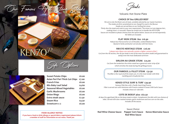Our Fanous Hot Stone, Steaks

## KEN





## Volcanic Hot Stone Plate

## **CHoICe oF 8oz GrILLeD BeeF**

*We serve only the finest cuts of meat, carefully selected by our master butchers. The steaks are first caramelized on our chargrill to seal in the flavour. Steaks are served blue on our Sizzling Hot stone. Thinly slice the steak and cook to your own requirement. The stone is at 300 degrees Hot ; cooking time is in seconds. Please be careful not to handle the HOTSTONE Sauces are included so please choose from the option below. Sauces are served separately. NO SIDES are included.*

Cut from the rib section, the rib eye steak is one of the most succulent steaks and guaranteed to *satisfy even the most dedicated carnivore*

## **FLat Iron steak 8oz £16.90**

*Robust but Flavoursome Cut of Shoulder, cooked Medium Rare. Basted in herbs and butter served also with Hot Stone.*

## **rIB eYe HerItaGe steak £26.00**

## *( please note ribeye cuts naturally contain a higher content of fat )*

## **sIrLoIn aa GraDe steak £25.00**

*Cut from the tenderloin the sirloin steak has a generous outer strip of fat which enriches the steak during the grilling process*

## **our Famous 72 FILLet steak £31.50**

*The fillet is the royal of all the steak cuts. It is the most tender with little marbling and virtually fat free -*

## **kenZo stYLe surF & turF £39.90**

*Famous Fillet 8oz with 2 Pacific Giant King Prawns Fillet is served rare with Hotstone with Prawns cooked in Sweet Chilli Garlic Sauce Includes choice of 1 side dish.*

## **Cote De BoeuF 36oz £62.50**

*28 days Dry-aged beef, Rib on the bone steak to share. Complement the dish with two choices of sides. Served with slow roasted tomato, garlic mushroom and two corn on the cobs. Includes all the sauces.*

*Sauce Choice:* **red Wine Cheese sauce pepper Corn sauce kenzo Béarnaise sauce red Wine sauce**

| <b>Sweet Potato Chips</b>              | £6.00 |
|----------------------------------------|-------|
| <b>Asian Peri Peri Thick Cut Chips</b> | £7.00 |
| <b>French Fries</b>                    | £6.00 |
| <b>Mix Baby Leaf Salad</b>             | £4.60 |
| <b>Seasonal Mixed Vegetables</b>       | £6.00 |
| <b>Garlic Mushrooms</b>                | £6.00 |
| <b>Onion Rings</b>                     | £6.00 |
| <b>Extra steak sauce</b>               | £2.50 |
| <b>Steam Rice</b>                      | £4.50 |
| Sweetcorn x 2                          | £6.00 |
|                                        |       |

Side Options

### **FooD aLLerGY notICe**

**If you have a food or drink allergy or special dietry requirement please inform a member of staff for information on our menu. thank you**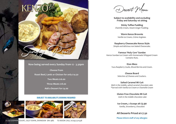**Choose From roast Beef, Lamb or Chicken for only £14.50**

**two meats £16.00**

**three meats £18.00**

**add a Dessert for £4.00**





**subject to availability and excluding Friday and saturday 1st sitting**

**sticky toffee pudding** *Chantilly Cream, Steam Ginger Pudding.*

**Warm Kenzo Brownie** *Vanilla Ice Cream, Crème Anglaise.*

**raspberry Cheesecake kenzo style** *Simple and delicious non baked Cheesecake.*

**Famous 'Holy Cow' sundae** Kenzo Sundae Ice Cream with Homemade Whipped Cream Contains Nuts.

> **eton mess** *Yuzu Raspberry Coulis, Mixed Berries and Cream.*

> > **Cheese Board** *Selection of Cheeses and Crackers.*

**salted Caramel mi Cuit** *Melt in the middle, salted caramel chocolate cake \*Served with Vanilla Ice Cream or Chantelle Cream*

> **Gluten Free Chocolate mi Cuit** *melt in the middle chocolate cake*

**Ice Cream, 2 scoops at £3.90** *Vanilla, Strawberry, Chocolate*

**all Desserts priced at £7.50**

**please inform staff of any allergies**

**now being served every sunday from 12 - 3.30pm**

Sungay Roast

## **SUBJECT TO AVAILABILITY, BOOKING REQUIRED**



72-74 GODWIN COURT, OLD TOWN, SWINDON SN1 4BS TO BOOK CALL 01793 521538